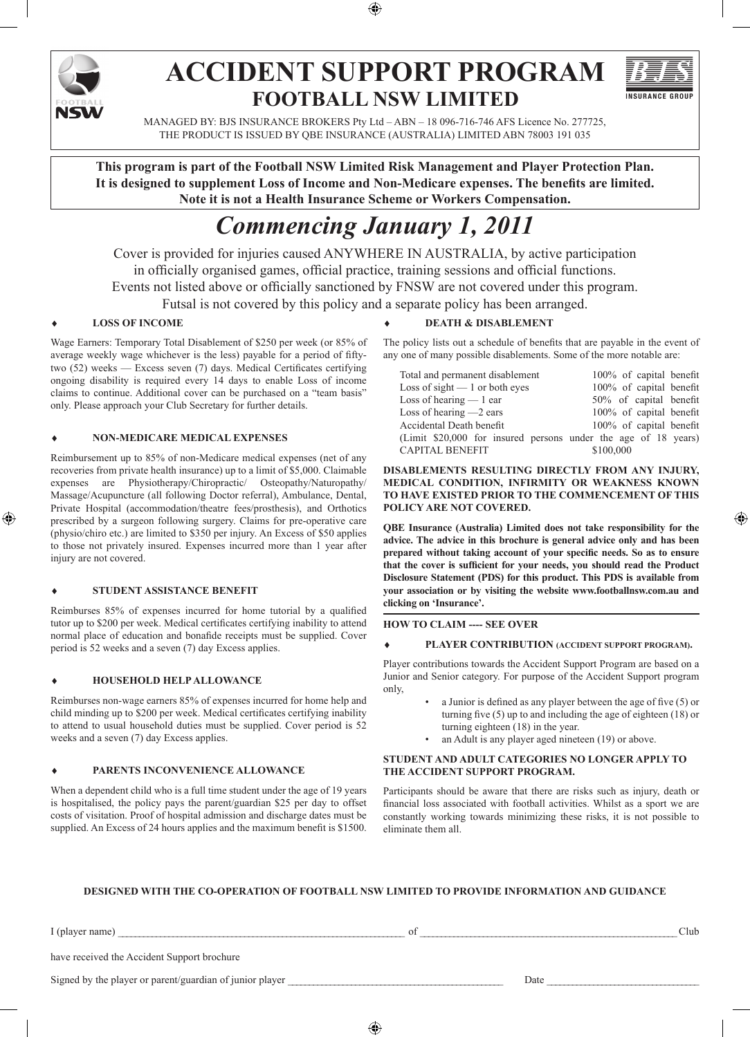

# **ACCIDENT SUPPORT PROGRAM FOOTBALL NSW LIMITED**



MANAGED BY: BJS INSURANCE BROKERS Pty Ltd – ABN – 18 096-716-746 AFS Licence No. 277725, THE PRODUCT IS ISSUED BY QBE INSURANCE (AUSTRALIA) LIMITED ABN 78003 191 035

**This program is part of the Football NSW Limited Risk Management and Player Protection Plan. It is designed to supplement Loss of Income and Non-Medicare expenses. The benefits are limited. Note it is not a Health Insurance Scheme or Workers Compensation.**

# *Commencing January 1, 2011*

Cover is provided for injuries caused ANYWHERE IN AUSTRALIA, by active participation in officially organised games, official practice, training sessions and official functions. Events not listed above or officially sanctioned by FNSW are not covered under this program. Futsal is not covered by this policy and a separate policy has been arranged.

#### **LOSS OF INCOME**

Wage Earners: Temporary Total Disablement of \$250 per week (or 85% of average weekly wage whichever is the less) payable for a period of fiftytwo (52) weeks — Excess seven (7) days. Medical Certificates certifying ongoing disability is required every 14 days to enable Loss of income claims to continue. Additional cover can be purchased on a "team basis" only. Please approach your Club Secretary for further details.

#### ♦ **NON-MEDICARE MEDICAL EXPENSES**

Reimbursement up to 85% of non-Medicare medical expenses (net of any recoveries from private health insurance) up to a limit of \$5,000. Claimable expenses are Physiotherapy/Chiropractic/ Osteopathy/Naturopathy/ Massage/Acupuncture (all following Doctor referral), Ambulance, Dental, Private Hospital (accommodation/theatre fees/prosthesis), and Orthotics prescribed by a surgeon following surgery. Claims for pre-operative care (physio/chiro etc.) are limited to \$350 per injury. An Excess of \$50 applies to those not privately insured. Expenses incurred more than 1 year after injury are not covered.

#### **STUDENT ASSISTANCE BENEFIT**

Reimburses 85% of expenses incurred for home tutorial by a qualified tutor up to \$200 per week. Medical certificates certifying inability to attend normal place of education and bonafide receipts must be supplied. Cover period is 52 weeks and a seven (7) day Excess applies.

#### **HOUSEHOLD HELP ALLOWANCE**

Reimburses non-wage earners 85% of expenses incurred for home help and child minding up to \$200 per week. Medical certificates certifying inability to attend to usual household duties must be supplied. Cover period is 52 weeks and a seven (7) day Excess applies.

#### ♦ **PARENTS INCONVENIENCE ALLOWANCE**

When a dependent child who is a full time student under the age of 19 years is hospitalised, the policy pays the parent/guardian \$25 per day to offset costs of visitation. Proof of hospital admission and discharge dates must be supplied. An Excess of 24 hours applies and the maximum benefit is \$1500.

#### **DEATH & DISABLEMENT**

The policy lists out a schedule of benefits that are payable in the event of any one of many possible disablements. Some of the more notable are:

| Total and permanent disablement                                | 100% of capital benefit |
|----------------------------------------------------------------|-------------------------|
| Loss of sight $-1$ or both eyes                                | 100% of capital benefit |
| Loss of hearing $-1$ ear                                       | 50% of capital benefit  |
| Loss of hearing $-2$ ears                                      | 100% of capital benefit |
| Accidental Death benefit                                       | 100% of capital benefit |
| (Limit \$20,000 for insured persons under the age of 18 years) |                         |
| <b>CAPITAL BENEFIT</b>                                         | \$100,000               |

#### **DISABLEMENTS RESULTING DIRECTLY FROM ANY INJURY, MEDICAL CONDITION, INFIRMITY OR WEAKNESS KNOWN TO HAVE EXISTED PRIOR TO THE COMMENCEMENT OF THIS POLICY ARE NOT COVERED.**

**QBE Insurance (Australia) Limited does not take responsibility for the advice. The advice in this brochure is general advice only and has been prepared without taking account of your specific needs. So as to ensure that the cover is sufficient for your needs, you should read the Product Disclosure Statement (PDS) for this product. This PDS is available from your association or by visiting the website www.footballnsw.com.au and clicking on 'Insurance'.**

#### **HOW TO CLAIM ---- SEE OVER**

#### ♦ **Player Contribution (Accident Support Program).**

Player contributions towards the Accident Support Program are based on a Junior and Senior category. For purpose of the Accident Support program only,

- a Junior is defined as any player between the age of five (5) or turning five (5) up to and including the age of eighteen (18) or turning eighteen (18) in the year.
- an Adult is any player aged nineteen (19) or above.

#### **Student and Adult categories no longer apply to the Accident Support program.**

Participants should be aware that there are risks such as injury, death or financial loss associated with football activities. Whilst as a sport we are constantly working towards minimizing these risks, it is not possible to eliminate them all.

#### **DESIGNED WITH THE CO-OPERATION OF FOOTBALL NSW LIMITED TO PROVIDE INFORMATION AND GUIDANCE**

| Tulay) | name<br>~ |  |  | ∄ur |
|--------|-----------|--|--|-----|
|        |           |  |  |     |

have received the Accident Support brochure

Signed by the player or parent/guardian of junior player \_\_\_\_\_\_\_\_\_\_\_\_\_\_\_\_\_\_\_\_\_\_\_\_\_\_\_\_\_\_\_\_\_\_\_\_\_\_\_\_\_\_\_\_\_\_\_\_\_\_\_ Date \_\_\_\_\_\_\_\_\_\_\_\_\_\_\_\_\_\_\_\_\_\_\_\_\_\_\_\_\_\_\_\_\_\_\_\_